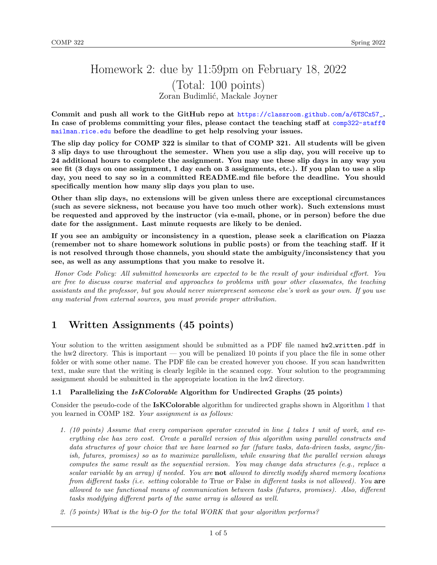# Homework 2: due by 11:59pm on February 18, 2022 (Total: 100 points) Zoran Budimlić, Mackale Joyner

Commit and push all work to the GitHub repo at [https://classroom.github.com/a/6TSCx57\\_](https://classroom.github.com/a/6TSCx57_). In case of problems committing your files, please contact the teaching staff at [comp322-staff@](comp322-staff@mailman.rice.edu) [mailman.rice.edu](comp322-staff@mailman.rice.edu) before the deadline to get help resolving your issues.

The slip day policy for COMP 322 is similar to that of COMP 321. All students will be given 3 slip days to use throughout the semester. When you use a slip day, you will receive up to 24 additional hours to complete the assignment. You may use these slip days in any way you see fit (3 days on one assignment, 1 day each on 3 assignments, etc.). If you plan to use a slip day, you need to say so in a committed README.md file before the deadline. You should specifically mention how many slip days you plan to use.

Other than slip days, no extensions will be given unless there are exceptional circumstances (such as severe sickness, not because you have too much other work). Such extensions must be requested and approved by the instructor (via e-mail, phone, or in person) before the due date for the assignment. Last minute requests are likely to be denied.

If you see an ambiguity or inconsistency in a question, please seek a clarification on Piazza (remember not to share homework solutions in public posts) or from the teaching staff. If it is not resolved through those channels, you should state the ambiguity/inconsistency that you see, as well as any assumptions that you make to resolve it.

Honor Code Policy: All submitted homeworks are expected to be the result of your individual effort. You are free to discuss course material and approaches to problems with your other classmates, the teaching assistants and the professor, but you should never misrepresent someone else's work as your own. If you use any material from external sources, you must provide proper attribution.

# 1 Written Assignments (45 points)

Your solution to the written assignment should be submitted as a PDF file named hw2\_written.pdf in the hw2 directory. This is important — you will be penalized 10 points if you place the file in some other folder or with some other name. The PDF file can be created however you choose. If you scan handwritten text, make sure that the writing is clearly legible in the scanned copy. Your solution to the programming assignment should be submitted in the appropriate location in the hw2 directory.

# 1.1 Parallelizing the *IsKColorable* Algorithm for Undirected Graphs (25 points)

Consider the pseudo-code of the **IsKColorable** algorithm for undirected graphs shown in Algorithm [1](#page-1-0) that you learned in COMP 182. Your assignment is as follows:

- 1. (10 points) Assume that every comparison operator executed in line 4 takes 1 unit of work, and everything else has zero cost. Create a parallel version of this algorithm using parallel constructs and data structures of your choice that we have learned so far (future tasks, data-driven tasks, async/finish, futures, promises) so as to maximize parallelism, while ensuring that the parallel version always computes the same result as the sequential version. You may change data structures (e.g., replace a scalar variable by an array) if needed. You are not allowed to directly modify shared memory locations from different tasks (i.e. setting colorable to True or False in different tasks is not allowed). You are allowed to use functional means of communication between tasks (futures, promises). Also, different tasks modifying different parts of the same array is allowed as well.
- 2. (5 points) What is the big-O for the total WORK that your algorithm performs?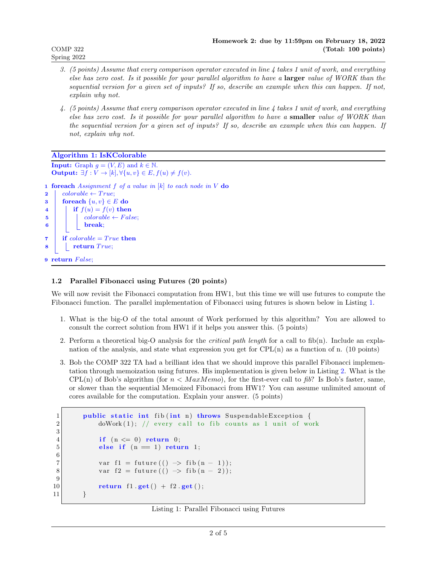- 3. (5 points) Assume that every comparison operator executed in line 4 takes 1 unit of work, and everything else has zero cost. Is it possible for your parallel algorithm to have a larger value of WORK than the sequential version for a given set of inputs? If so, describe an example when this can happen. If not, explain why not.
- 4. (5 points) Assume that every comparison operator executed in line 4 takes 1 unit of work, and everything else has zero cost. Is it possible for your parallel algorithm to have a smaller value of WORK than the sequential version for a given set of inputs? If so, describe an example when this can happen. If not, explain why not.

# Algorithm 1: IsKColorable

**Input:** Graph  $g = (V, E)$  and  $k \in \mathbb{N}$ . **Output:**  $\exists f: V \rightarrow [k], \forall \{u, v\} \in E, f(u) \neq f(v).$ 1 foreach Assignment  $f$  of a value in  $[k]$  to each node in  $V$  do 2 colorable  $\leftarrow True;$ 3 foreach  $\{u, v\} \in E$  do 4 if  $f(u) = f(v)$  then  $\mathbf{5}$  | colorable ← False;  $\vert \cdot \vert$  break; 7 if  $colorable = True$  then  $\vert$  return True; 9 return False;

# <span id="page-1-0"></span>1.2 Parallel Fibonacci using Futures (20 points)

We will now revisit the Fibonacci computation from HW1, but this time we will use futures to compute the Fibonacci function. The parallel implementation of Fibonacci using futures is shown below in Listing [1.](#page-1-1)

- 1. What is the big-O of the total amount of Work performed by this algorithm? You are allowed to consult the correct solution from HW1 if it helps you answer this. (5 points)
- 2. Perform a theoretical big-O analysis for the critical path length for a call to fib(n). Include an explanation of the analysis, and state what expression you get for CPL(n) as a function of n. (10 points)
- 3. Bob the COMP 322 TA had a brilliant idea that we should improve this parallel Fibonacci implementation through memoization using futures. His implementation is given below in Listing [2.](#page-2-0) What is the CPL(n) of Bob's algorithm (for  $n < Max Memo$ ), for the first-ever call to fib? Is Bob's faster, same, or slower than the sequential Memoized Fibonacci from HW1? You can assume unlimited amount of cores available for the computation. Explain your answer. (5 points)

```
1 public static int fib(int n) throws SuspendableException {
2 doWork (1); // every call to fib counts as 1 unit of work
3
4 if (n \leq 0) return 0;
5 else if (n = 1) return 1;
\frac{6}{7}var f1 = future (() \rightarrow fib(n - 1));8 var f2 = future (() \rightarrow fib (n - 2));
9
10 return f1 .get () + f2 .get ();|11| }
```
### Listing 1: Parallel Fibonacci using Futures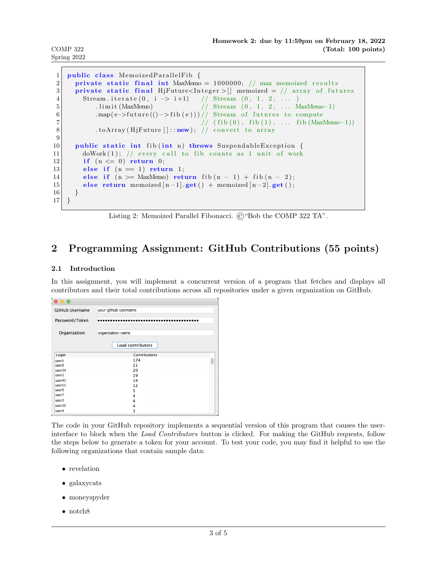COMP 322 Spring 2022

```
1 public class MemoizedParallelFib {
2 private static final int MaxMemo = 1000000; // max memoized results
3 private static final HjFuture<Integer > [] memoized = // array of futures
4 Stream . iterate (0, i \to i+1) // Stream (0, 1, 2, ...)5 . limit (MaxMemo) // Stream (0, 1, 2, ... MaxMemo−1)
6 . map(e->future(()->fib(e)))// Stream of futures to compute
7 / ( f i b (0), f i b (1), ... f i b (MaxMemo-1))
8 . toArray (HjFuture []::new); // convert to array
9
10 public static int fib(int n) throws SuspendableException {
11 doWork(1); // every call to fib counts as 1 unit of work
12 if (n \leq 0) return 0;
13 else if (n = 1) return 1;
14 else if (n > = MaxMemo) return fib (n - 1) + fib (n - 2);
15 else return memoized [n-1]. get () + memoized [n-2]. get ();
16 }
17 }
```
Listing 2: Memoized Parallel Fibonacci. ©"Bob the COMP 322 TA".

# 2 Programming Assignment: GitHub Contributions (55 points)

# 2.1 Introduction

In this assignment, you will implement a concurrent version of a program that fetches and displays all contributors and their total contributions across all repositories under a given organization on GitHub.

| GitHub Username   | your github username |
|-------------------|----------------------|
| Password/Token    |                      |
| Organization      | organization name    |
|                   | Load contributors    |
| Login             | Contributions        |
| user1             | 174                  |
| user <sub>8</sub> | 21                   |
| user34            | 20                   |
| user <sub>2</sub> | 19                   |
| user43            | 14                   |
| user11            | 12                   |
| user5             | 5                    |
| user7             | 4                    |
| user3             | 4                    |
| user29            | 4                    |
| user4             | 3                    |

The code in your GitHub repository implements a sequential version of this program that causes the userinterface to block when the Load Contributors button is clicked. For making the GitHub requests, follow the steps below to generate a token for your account. To test your code, you may find it helpful to use the following organizations that contain sample data:

- revelation
- galaxycats
- moneyspyder
- notch8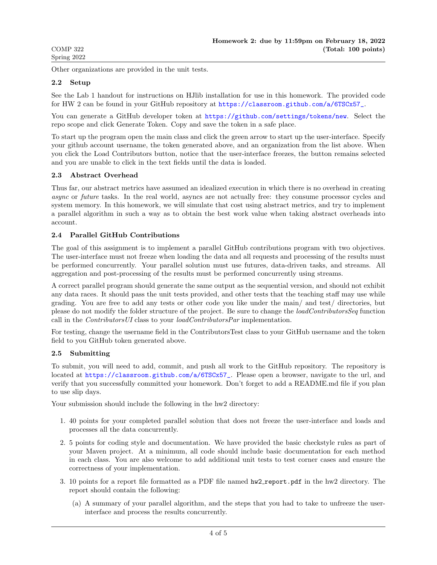Other organizations are provided in the unit tests.

### 2.2 Setup

See the Lab 1 handout for instructions on HJlib installation for use in this homework. The provided code for HW 2 can be found in your GitHub repository at [https://classroom.github.com/a/6TSCx57\\_](https://classroom.github.com/a/6TSCx57_).

You can generate a GitHub developer token at <https://github.com/settings/tokens/new>. Select the repo scope and click Generate Token. Copy and save the token in a safe place.

To start up the program open the main class and click the green arrow to start up the user-interface. Specify your github account username, the token generated above, and an organization from the list above. When you click the Load Contributors button, notice that the user-interface freezes, the button remains selected and you are unable to click in the text fields until the data is loaded.

### 2.3 Abstract Overhead

Thus far, our abstract metrics have assumed an idealized execution in which there is no overhead in creating async or future tasks. In the real world, asyncs are not actually free: they consume processor cycles and system memory. In this homework, we will simulate that cost using abstract metrics, and try to implement a parallel algorithm in such a way as to obtain the best work value when taking abstract overheads into account.

### 2.4 Parallel GitHub Contributions

The goal of this assignment is to implement a parallel GitHub contributions program with two objectives. The user-interface must not freeze when loading the data and all requests and processing of the results must be performed concurrently. Your parallel solution must use futures, data-driven tasks, and streams. All aggregation and post-processing of the results must be performed concurrently using streams.

A correct parallel program should generate the same output as the sequential version, and should not exhibit any data races. It should pass the unit tests provided, and other tests that the teaching staff may use while grading. You are free to add any tests or other code you like under the main/ and test/ directories, but please do not modify the folder structure of the project. Be sure to change the loadContributorsSeq function call in the *Contributors UI* class to your *loadContributorsPar* implementation.

For testing, change the username field in the ContributorsTest class to your GitHub username and the token field to you GitHub token generated above.

### 2.5 Submitting

To submit, you will need to add, commit, and push all work to the GitHub repository. The repository is located at [https://classroom.github.com/a/6TSCx57\\_](https://classroom.github.com/a/6TSCx57_). Please open a browser, navigate to the url, and verify that you successfully committed your homework. Don't forget to add a README.md file if you plan to use slip days.

Your submission should include the following in the hw2 directory:

- 1. 40 points for your completed parallel solution that does not freeze the user-interface and loads and processes all the data concurrently.
- 2. 5 points for coding style and documentation. We have provided the basic checkstyle rules as part of your Maven project. At a minimum, all code should include basic documentation for each method in each class. You are also welcome to add additional unit tests to test corner cases and ensure the correctness of your implementation.
- 3. 10 points for a report file formatted as a PDF file named  $hw2$  report.pdf in the hw2 directory. The report should contain the following:
	- (a) A summary of your parallel algorithm, and the steps that you had to take to unfreeze the userinterface and process the results concurrently.